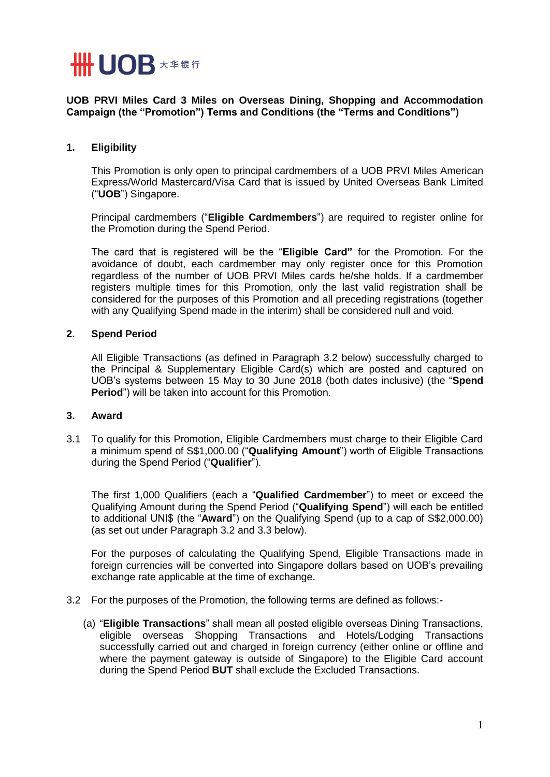

**UOB PRVI Miles Card 3 Miles on Overseas Dining, Shopping and Accommodation Campaign (the "Promotion") Terms and Conditions (the "Terms and Conditions")**

## **1. Eligibility**

This Promotion is only open to principal cardmembers of a UOB PRVI Miles American Express/World Mastercard/Visa Card that is issued by United Overseas Bank Limited ("**UOB**") Singapore.

Principal cardmembers ("**Eligible Cardmembers**") are required to register online for the Promotion during the Spend Period.

The card that is registered will be the "**Eligible Card"** for the Promotion. For the avoidance of doubt, each cardmember may only register once for this Promotion regardless of the number of UOB PRVI Miles cards he/she holds. If a cardmember registers multiple times for this Promotion, only the last valid registration shall be considered for the purposes of this Promotion and all preceding registrations (together with any Qualifying Spend made in the interim) shall be considered null and void.

## **2. Spend Period**

All Eligible Transactions (as defined in Paragraph 3.2 below) successfully charged to the Principal & Supplementary Eligible Card(s) which are posted and captured on UOB's systems between 15 May to 30 June 2018 (both dates inclusive) (the "**Spend Period**") will be taken into account for this Promotion.

## **3. Award**

3.1 To qualify for this Promotion, Eligible Cardmembers must charge to their Eligible Card a minimum spend of S\$1,000.00 ("**Qualifying Amount**") worth of Eligible Transactions during the Spend Period ("**Qualifier**").

The first 1,000 Qualifiers (each a "**Qualified Cardmember**") to meet or exceed the Qualifying Amount during the Spend Period ("**Qualifying Spend**") will each be entitled to additional UNI\$ (the "**Award**") on the Qualifying Spend (up to a cap of S\$2,000.00) (as set out under Paragraph 3.2 and 3.3 below).

For the purposes of calculating the Qualifying Spend, Eligible Transactions made in foreign currencies will be converted into Singapore dollars based on UOB's prevailing exchange rate applicable at the time of exchange.

- 3.2 For the purposes of the Promotion, the following terms are defined as follows:-
	- (a) "**Eligible Transactions**" shall mean all posted eligible overseas Dining Transactions, eligible overseas Shopping Transactions and Hotels/Lodging Transactions successfully carried out and charged in foreign currency (either online or offline and where the payment gateway is outside of Singapore) to the Eligible Card account during the Spend Period **BUT** shall exclude the Excluded Transactions.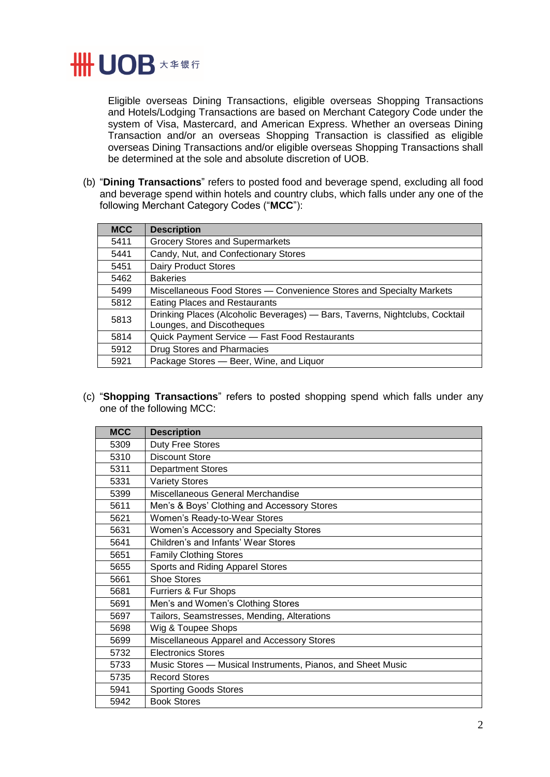

Eligible overseas Dining Transactions, eligible overseas Shopping Transactions and Hotels/Lodging Transactions are based on Merchant Category Code under the system of Visa, Mastercard, and American Express. Whether an overseas Dining Transaction and/or an overseas Shopping Transaction is classified as eligible overseas Dining Transactions and/or eligible overseas Shopping Transactions shall be determined at the sole and absolute discretion of UOB.

(b) "**Dining Transactions**" refers to posted food and beverage spend, excluding all food and beverage spend within hotels and country clubs, which falls under any one of the following Merchant Category Codes ("**MCC**"):

| <b>MCC</b> | <b>Description</b>                                                                                       |
|------------|----------------------------------------------------------------------------------------------------------|
| 5411       | <b>Grocery Stores and Supermarkets</b>                                                                   |
| 5441       | Candy, Nut, and Confectionary Stores                                                                     |
| 5451       | <b>Dairy Product Stores</b>                                                                              |
| 5462       | <b>Bakeries</b>                                                                                          |
| 5499       | Miscellaneous Food Stores — Convenience Stores and Specialty Markets                                     |
| 5812       | <b>Eating Places and Restaurants</b>                                                                     |
| 5813       | Drinking Places (Alcoholic Beverages) - Bars, Taverns, Nightclubs, Cocktail<br>Lounges, and Discotheques |
| 5814       | Quick Payment Service - Fast Food Restaurants                                                            |
| 5912       | Drug Stores and Pharmacies                                                                               |
| 5921       | Package Stores - Beer, Wine, and Liquor                                                                  |

(c) "**Shopping Transactions**" refers to posted shopping spend which falls under any one of the following MCC:

| <b>MCC</b> | <b>Description</b>                                          |
|------------|-------------------------------------------------------------|
| 5309       | <b>Duty Free Stores</b>                                     |
| 5310       | <b>Discount Store</b>                                       |
| 5311       | <b>Department Stores</b>                                    |
| 5331       | <b>Variety Stores</b>                                       |
| 5399       | Miscellaneous General Merchandise                           |
| 5611       | Men's & Boys' Clothing and Accessory Stores                 |
| 5621       | Women's Ready-to-Wear Stores                                |
| 5631       | Women's Accessory and Specialty Stores                      |
| 5641       | Children's and Infants' Wear Stores                         |
| 5651       | <b>Family Clothing Stores</b>                               |
| 5655       | Sports and Riding Apparel Stores                            |
| 5661       | <b>Shoe Stores</b>                                          |
| 5681       | Furriers & Fur Shops                                        |
| 5691       | Men's and Women's Clothing Stores                           |
| 5697       | Tailors, Seamstresses, Mending, Alterations                 |
| 5698       | Wig & Toupee Shops                                          |
| 5699       | Miscellaneous Apparel and Accessory Stores                  |
| 5732       | <b>Electronics Stores</b>                                   |
| 5733       | Music Stores - Musical Instruments, Pianos, and Sheet Music |
| 5735       | <b>Record Stores</b>                                        |
| 5941       | <b>Sporting Goods Stores</b>                                |
| 5942       | <b>Book Stores</b>                                          |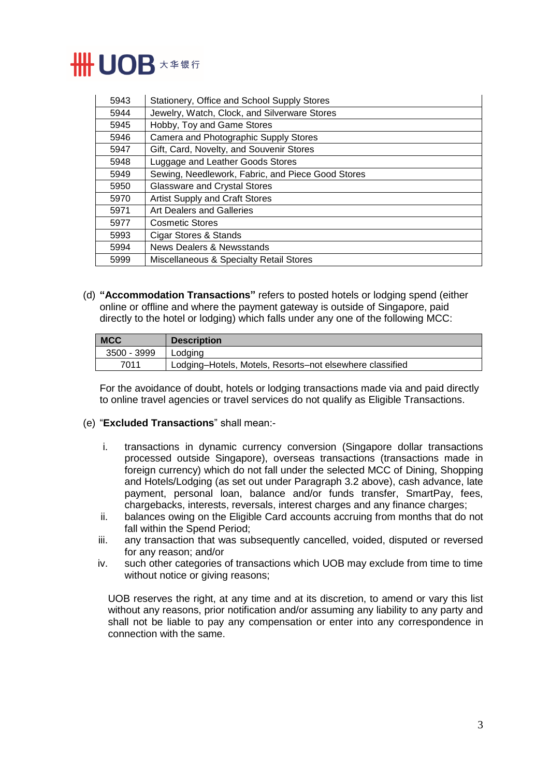

| 5943 | Stationery, Office and School Supply Stores       |
|------|---------------------------------------------------|
| 5944 | Jewelry, Watch, Clock, and Silverware Stores      |
| 5945 | Hobby, Toy and Game Stores                        |
| 5946 | Camera and Photographic Supply Stores             |
| 5947 | Gift, Card, Novelty, and Souvenir Stores          |
| 5948 | Luggage and Leather Goods Stores                  |
| 5949 | Sewing, Needlework, Fabric, and Piece Good Stores |
| 5950 | <b>Glassware and Crystal Stores</b>               |
| 5970 | Artist Supply and Craft Stores                    |
| 5971 | <b>Art Dealers and Galleries</b>                  |
| 5977 | <b>Cosmetic Stores</b>                            |
| 5993 | Cigar Stores & Stands                             |
| 5994 | News Dealers & Newsstands                         |
| 5999 | Miscellaneous & Specialty Retail Stores           |

(d) **"Accommodation Transactions"** refers to posted hotels or lodging spend (either online or offline and where the payment gateway is outside of Singapore, paid directly to the hotel or lodging) which falls under any one of the following MCC:

| <b>MCC</b>  | <b>Description</b>                                       |
|-------------|----------------------------------------------------------|
| 3500 - 3999 | l Lodaina                                                |
| 7011        | Lodging–Hotels, Motels, Resorts–not elsewhere classified |

For the avoidance of doubt, hotels or lodging transactions made via and paid directly to online travel agencies or travel services do not qualify as Eligible Transactions.

## (e) "**Excluded Transactions**" shall mean:-

- i. transactions in dynamic currency conversion (Singapore dollar transactions processed outside Singapore), overseas transactions (transactions made in foreign currency) which do not fall under the selected MCC of Dining, Shopping and Hotels/Lodging (as set out under Paragraph 3.2 above), cash advance, late payment, personal loan, balance and/or funds transfer, SmartPay, fees, chargebacks, interests, reversals, interest charges and any finance charges;
- ii. balances owing on the Eligible Card accounts accruing from months that do not fall within the Spend Period;
- iii. any transaction that was subsequently cancelled, voided, disputed or reversed for any reason; and/or
- iv. such other categories of transactions which UOB may exclude from time to time without notice or giving reasons;

UOB reserves the right, at any time and at its discretion, to amend or vary this list without any reasons, prior notification and/or assuming any liability to any party and shall not be liable to pay any compensation or enter into any correspondence in connection with the same.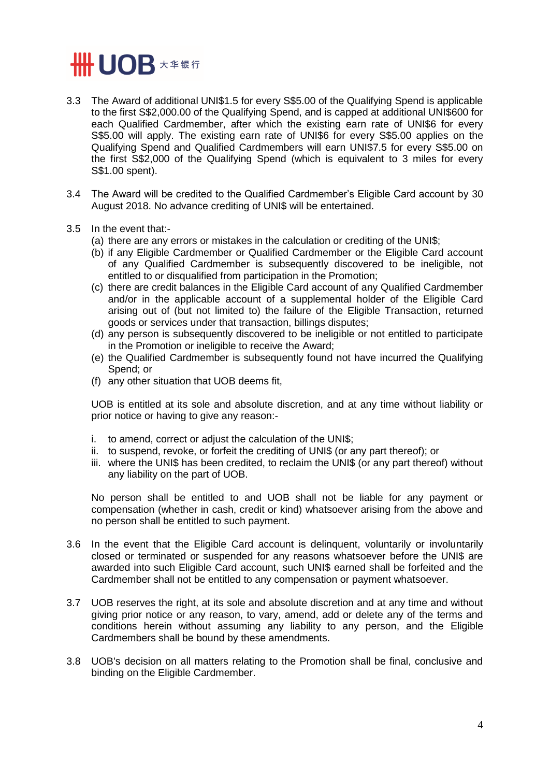

- 3.3 The Award of additional UNI\$1.5 for every S\$5.00 of the Qualifying Spend is applicable to the first S\$2,000.00 of the Qualifying Spend, and is capped at additional UNI\$600 for each Qualified Cardmember, after which the existing earn rate of UNI\$6 for every S\$5.00 will apply. The existing earn rate of UNI\$6 for every S\$5.00 applies on the Qualifying Spend and Qualified Cardmembers will earn UNI\$7.5 for every S\$5.00 on the first S\$2,000 of the Qualifying Spend (which is equivalent to 3 miles for every S\$1.00 spent).
- 3.4 The Award will be credited to the Qualified Cardmember's Eligible Card account by 30 August 2018. No advance crediting of UNI\$ will be entertained.
- 3.5 In the event that:-
	- (a) there are any errors or mistakes in the calculation or crediting of the UNI\$;
	- (b) if any Eligible Cardmember or Qualified Cardmember or the Eligible Card account of any Qualified Cardmember is subsequently discovered to be ineligible, not entitled to or disqualified from participation in the Promotion;
	- (c) there are credit balances in the Eligible Card account of any Qualified Cardmember and/or in the applicable account of a supplemental holder of the Eligible Card arising out of (but not limited to) the failure of the Eligible Transaction, returned goods or services under that transaction, billings disputes;
	- (d) any person is subsequently discovered to be ineligible or not entitled to participate in the Promotion or ineligible to receive the Award;
	- (e) the Qualified Cardmember is subsequently found not have incurred the Qualifying Spend; or
	- (f) any other situation that UOB deems fit,

UOB is entitled at its sole and absolute discretion, and at any time without liability or prior notice or having to give any reason:-

- i. to amend, correct or adjust the calculation of the UNI\$;
- ii. to suspend, revoke, or forfeit the crediting of UNI\$ (or any part thereof); or
- iii. where the UNI\$ has been credited, to reclaim the UNI\$ (or any part thereof) without any liability on the part of UOB.

No person shall be entitled to and UOB shall not be liable for any payment or compensation (whether in cash, credit or kind) whatsoever arising from the above and no person shall be entitled to such payment.

- 3.6 In the event that the Eligible Card account is delinquent, voluntarily or involuntarily closed or terminated or suspended for any reasons whatsoever before the UNI\$ are awarded into such Eligible Card account, such UNI\$ earned shall be forfeited and the Cardmember shall not be entitled to any compensation or payment whatsoever.
- 3.7 UOB reserves the right, at its sole and absolute discretion and at any time and without giving prior notice or any reason, to vary, amend, add or delete any of the terms and conditions herein without assuming any liability to any person, and the Eligible Cardmembers shall be bound by these amendments.
- 3.8 UOB's decision on all matters relating to the Promotion shall be final, conclusive and binding on the Eligible Cardmember.